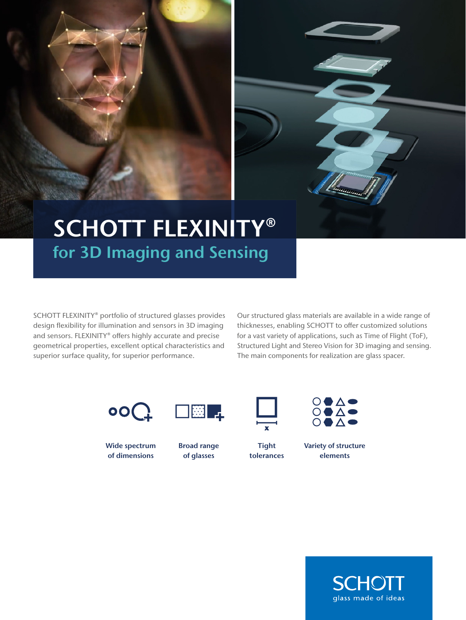

## SCHOTT FLEXINITY® for 3D Imaging and Sensing

SCHOTT FLEXINITY® portfolio of structured glasses provides design flexibility for illumination and sensors in 3D imaging and sensors. FLEXINITY® offers highly accurate and precise geometrical properties, excellent optical characteristics and superior surface quality, for superior performance.

Our structured glass materials are available in a wide range of thicknesses, enabling SCHOTT to offer customized solutions for a vast variety of applications, such as Time of Flight (ToF), Structured Light and Stereo Vision for 3D imaging and sensing. The main components for realization are glass spacer.





Wide spectrum of dimensions



**EEI** 

of glasses



**Tight** tolerances



Variety of structure elements